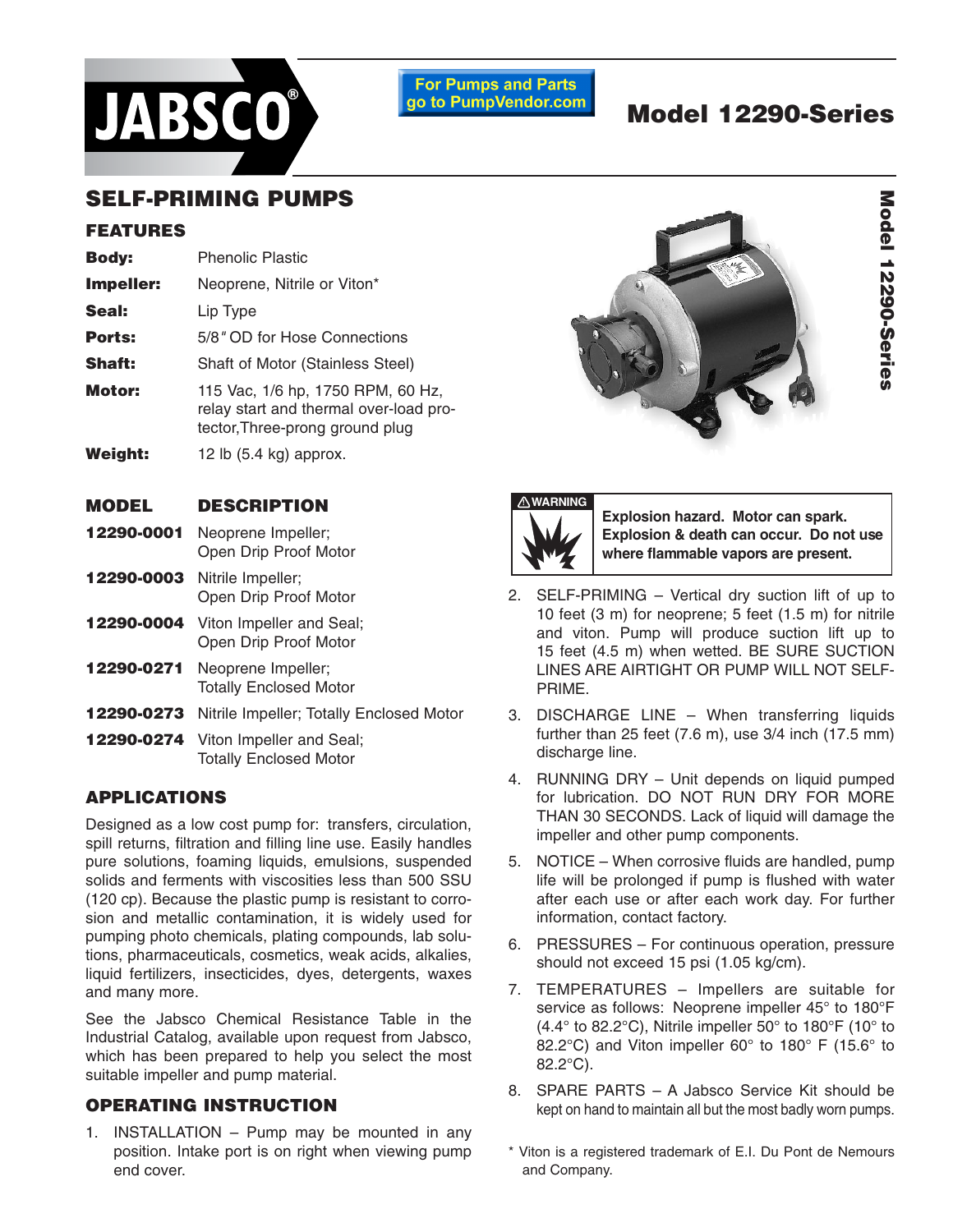

**For Pumps and Parts** go to PumpVendor.com

# **Model 12290-Series**

## **SELF-PRIMING PUMPS**

#### **FEATURES**

| <b>Body:</b>  | <b>Phenolic Plastic</b>                                                                                        |  |  |  |  |
|---------------|----------------------------------------------------------------------------------------------------------------|--|--|--|--|
| Impeller:     | Neoprene, Nitrile or Viton*                                                                                    |  |  |  |  |
| Seal:         | Lip Type                                                                                                       |  |  |  |  |
| Ports:        | 5/8" OD for Hose Connections                                                                                   |  |  |  |  |
| <b>Shaft:</b> | Shaft of Motor (Stainless Steel)                                                                               |  |  |  |  |
| Motor:        | 115 Vac, 1/6 hp, 1750 RPM, 60 Hz,<br>relay start and thermal over-load pro-<br>tector, Three-prong ground plug |  |  |  |  |
| Weight:       | 12 lb $(5.4 \text{ kg})$ approx.                                                                               |  |  |  |  |

#### **MODEL DESCRIPTION**

- **12290-0001** Neoprene Impeller; Open Drip Proof Motor
- **12290-0003** Nitrile Impeller; Open Drip Proof Motor
- **12290-0004** Viton Impeller and Seal; Open Drip Proof Motor
- **12290-0271** Neoprene Impeller; Totally Enclosed Motor
- **12290-0273** Nitrile Impeller; Totally Enclosed Motor
- **12290-0274** Viton Impeller and Seal; Totally Enclosed Motor

#### **APPLICATIONS**

Designed as a low cost pump for: transfers, circulation, spill returns, filtration and filling line use. Easily handles pure solutions, foaming liquids, emulsions, suspended solids and ferments with viscosities less than 500 SSU (120 cp). Because the plastic pump is resistant to corrosion and metallic contamination, it is widely used for pumping photo chemicals, plating compounds, lab solutions, pharmaceuticals, cosmetics, weak acids, alkalies, liquid fertilizers, insecticides, dyes, detergents, waxes and many more.

See the Jabsco Chemical Resistance Table in the Industrial Catalog, available upon request from Jabsco, which has been prepared to help you select the most suitable impeller and pump material.

### **OPERATING INSTRUCTION**

1. INSTALLATION – Pump may be mounted in any position. Intake port is on right when viewing pump end cover.





**Explosion hazard. Motor can spark. Explosion & death can occur. Do not use where flammable vapors are present.**

- 2. SELF-PRIMING Vertical dry suction lift of up to 10 feet (3 m) for neoprene; 5 feet (1.5 m) for nitrile and viton. Pump will produce suction lift up to 15 feet (4.5 m) when wetted. BE SURE SUCTION LINES ARE AIRTIGHT OR PUMP WILL NOT SELF-PRIME.
- 3. DISCHARGE LINE When transferring liquids further than 25 feet (7.6 m), use 3/4 inch (17.5 mm) discharge line.
- 4. RUNNING DRY Unit depends on liquid pumped for lubrication. DO NOT RUN DRY FOR MORE THAN 30 SECONDS. Lack of liquid will damage the impeller and other pump components.
- 5. NOTICE When corrosive fluids are handled, pump life will be prolonged if pump is flushed with water after each use or after each work day. For further information, contact factory.
- 6. PRESSURES For continuous operation, pressure should not exceed 15 psi (1.05 kg/cm).
- 7. TEMPERATURES Impellers are suitable for service as follows: Neoprene impeller 45° to 180°F (4.4° to 82.2°C), Nitrile impeller 50° to 180°F (10° to 82.2°C) and Viton impeller 60° to 180° F (15.6° to 82.2°C).
- 8. SPARE PARTS A Jabsco Service Kit should be kept on hand to maintain all but the most badly worn pumps.
- \* Viton is a registered trademark of E.I. Du Pont de Nemours and Company.